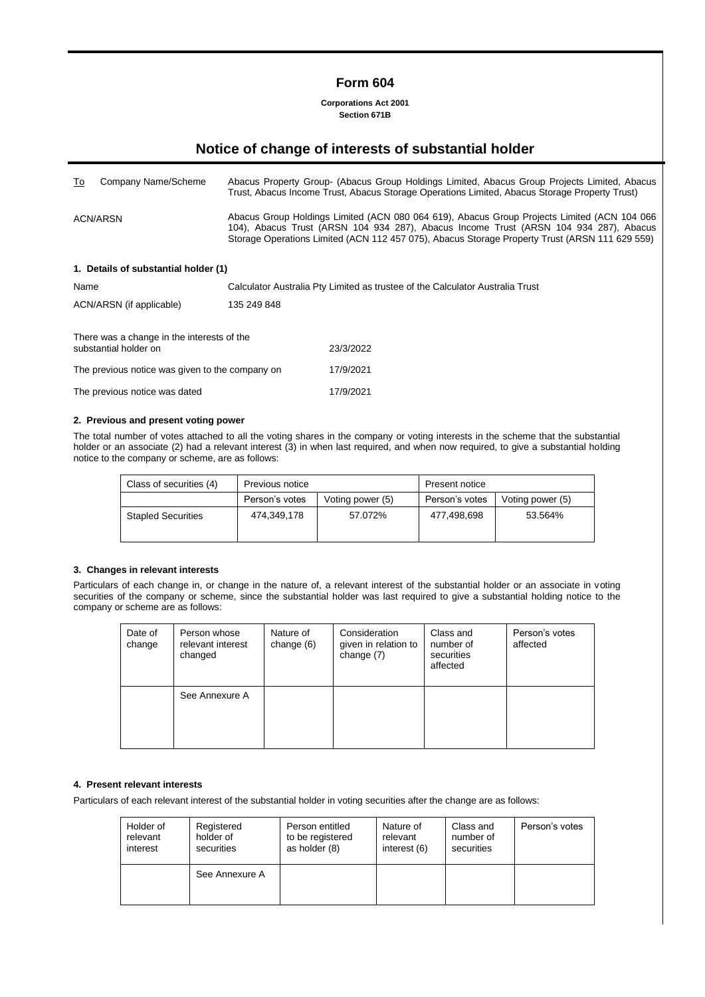# **Form 604**

**Corporations Act 2001 Section 671B**

# **Notice of change of interests of substantial holder**

| To                                                                  | Company Name/Scheme                  |                                                                                                                                                                                                                                                                                        | Abacus Property Group- (Abacus Group Holdings Limited, Abacus Group Projects Limited, Abacus<br>Trust, Abacus Income Trust, Abacus Storage Operations Limited, Abacus Storage Property Trust) |  |  |  |
|---------------------------------------------------------------------|--------------------------------------|----------------------------------------------------------------------------------------------------------------------------------------------------------------------------------------------------------------------------------------------------------------------------------------|-----------------------------------------------------------------------------------------------------------------------------------------------------------------------------------------------|--|--|--|
| ACN/ARSN                                                            |                                      | Abacus Group Holdings Limited (ACN 080 064 619), Abacus Group Projects Limited (ACN 104 066<br>104), Abacus Trust (ARSN 104 934 287), Abacus Income Trust (ARSN 104 934 287), Abacus<br>Storage Operations Limited (ACN 112 457 075), Abacus Storage Property Trust (ARSN 111 629 559) |                                                                                                                                                                                               |  |  |  |
|                                                                     | 1. Details of substantial holder (1) |                                                                                                                                                                                                                                                                                        |                                                                                                                                                                                               |  |  |  |
| Name                                                                |                                      |                                                                                                                                                                                                                                                                                        | Calculator Australia Pty Limited as trustee of the Calculator Australia Trust                                                                                                                 |  |  |  |
| ACN/ARSN (if applicable)<br>135 249 848                             |                                      |                                                                                                                                                                                                                                                                                        |                                                                                                                                                                                               |  |  |  |
| There was a change in the interests of the<br>substantial holder on |                                      |                                                                                                                                                                                                                                                                                        | 23/3/2022                                                                                                                                                                                     |  |  |  |
| The previous notice was given to the company on                     |                                      |                                                                                                                                                                                                                                                                                        | 17/9/2021                                                                                                                                                                                     |  |  |  |
| The previous notice was dated                                       |                                      |                                                                                                                                                                                                                                                                                        | 17/9/2021                                                                                                                                                                                     |  |  |  |

#### **2. Previous and present voting power**

The total number of votes attached to all the voting shares in the company or voting interests in the scheme that the substantial holder or an associate (2) had a relevant interest (3) in when last required, and when now required, to give a substantial holding notice to the company or scheme, are as follows:

| Class of securities (4)   | Previous notice<br>Person's votes<br>Voting power (5) |         | <b>Present notice</b> |                  |  |
|---------------------------|-------------------------------------------------------|---------|-----------------------|------------------|--|
|                           |                                                       |         | Person's votes        | Voting power (5) |  |
| <b>Stapled Securities</b> | 474.349.178                                           | 57.072% | 477.498.698           | 53.564%          |  |

#### **3. Changes in relevant interests**

Particulars of each change in, or change in the nature of, a relevant interest of the substantial holder or an associate in voting securities of the company or scheme, since the substantial holder was last required to give a substantial holding notice to the company or scheme are as follows:

| Date of<br>change | Person whose<br>relevant interest<br>changed | Nature of<br>change $(6)$ | Consideration<br>given in relation to<br>change (7) | Class and<br>number of<br>securities<br>affected | Person's votes<br>affected |
|-------------------|----------------------------------------------|---------------------------|-----------------------------------------------------|--------------------------------------------------|----------------------------|
|                   | See Annexure A                               |                           |                                                     |                                                  |                            |

### **4. Present relevant interests**

Particulars of each relevant interest of the substantial holder in voting securities after the change are as follows:

| Holder of | Registered     | Person entitled  | Nature of    | Class and  | Person's votes |
|-----------|----------------|------------------|--------------|------------|----------------|
| relevant  | holder of      | to be registered | relevant     | number of  |                |
| interest  | securities     | as holder (8)    | interest (6) | securities |                |
|           | See Annexure A |                  |              |            |                |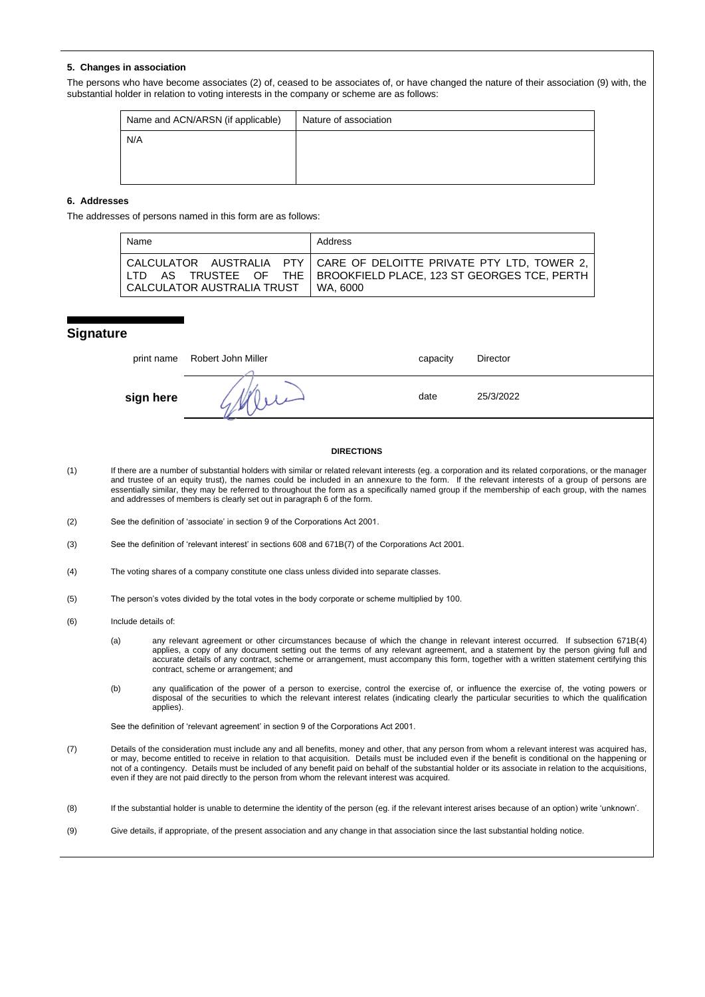#### **5. Changes in association**

The persons who have become associates (2) of, ceased to be associates of, or have changed the nature of their association (9) with, the substantial holder in relation to voting interests in the company or scheme are as follows:

| Name and ACN/ARSN (if applicable) | Nature of association |
|-----------------------------------|-----------------------|
| N/A                               |                       |
|                                   |                       |
|                                   |                       |

### **6. Addresses**

The addresses of persons named in this form are as follows:

| Name                       | Address                                                                                                                                                  |
|----------------------------|----------------------------------------------------------------------------------------------------------------------------------------------------------|
| CALCULATOR AUSTRALIA TRUST | CALCULATOR AUSTRALIA PTY   CARE OF DELOITTE PRIVATE PTY LTD, TOWER 2,<br>LTD AS TRUSTEE OF THE   BROOKFIELD PLACE, 123 ST GEORGES TCE, PERTH<br>WA. 6000 |

#### **Signature**

|           | print name Robert John Miller | capacity | <b>Director</b> |
|-----------|-------------------------------|----------|-----------------|
| sign here |                               | date     | 25/3/2022       |

#### **DIRECTIONS**

- (1) If there are a number of substantial holders with similar or related relevant interests (eg. a corporation and its related corporations, or the manager and trustee of an equity trust), the names could be included in an annexure to the form. If the relevant interests of a group of persons are essentially similar, they may be referred to throughout the form as a specifically named group if the membership of each group, with the names and addresses of members is clearly set out in paragraph 6 of the form.
- (2) See the definition of 'associate' in section 9 of the Corporations Act 2001.
- (3) See the definition of 'relevant interest' in sections 608 and 671B(7) of the Corporations Act 2001.
- (4) The voting shares of a company constitute one class unless divided into separate classes.
- (5) The person's votes divided by the total votes in the body corporate or scheme multiplied by 100.
- (6) Include details of:
	- (a) any relevant agreement or other circumstances because of which the change in relevant interest occurred. If subsection 671B(4) applies, a copy of any document setting out the terms of any relevant agreement, and a statement by the person giving full and accurate details of any contract, scheme or arrangement, must accompany this form, together with a written statement certifying this contract, scheme or arrangement; and
	- (b) any qualification of the power of a person to exercise, control the exercise of, or influence the exercise of, the voting powers or disposal of the securities to which the relevant interest relates (indicating clearly the particular securities to which the qualification applies).

See the definition of 'relevant agreement' in section 9 of the Corporations Act 2001.

(7) Details of the consideration must include any and all benefits, money and other, that any person from whom a relevant interest was acquired has, or may, become entitled to receive in relation to that acquisition. Details must be included even if the benefit is conditional on the happening or not of a contingency. Details must be included of any benefit paid on behalf of the substantial holder or its associate in relation to the acquisitions, even if they are not paid directly to the person from whom the relevant interest was acquired.

(8) If the substantial holder is unable to determine the identity of the person (eg. if the relevant interest arises because of an option) write 'unknown'.

(9) Give details, if appropriate, of the present association and any change in that association since the last substantial holding notice.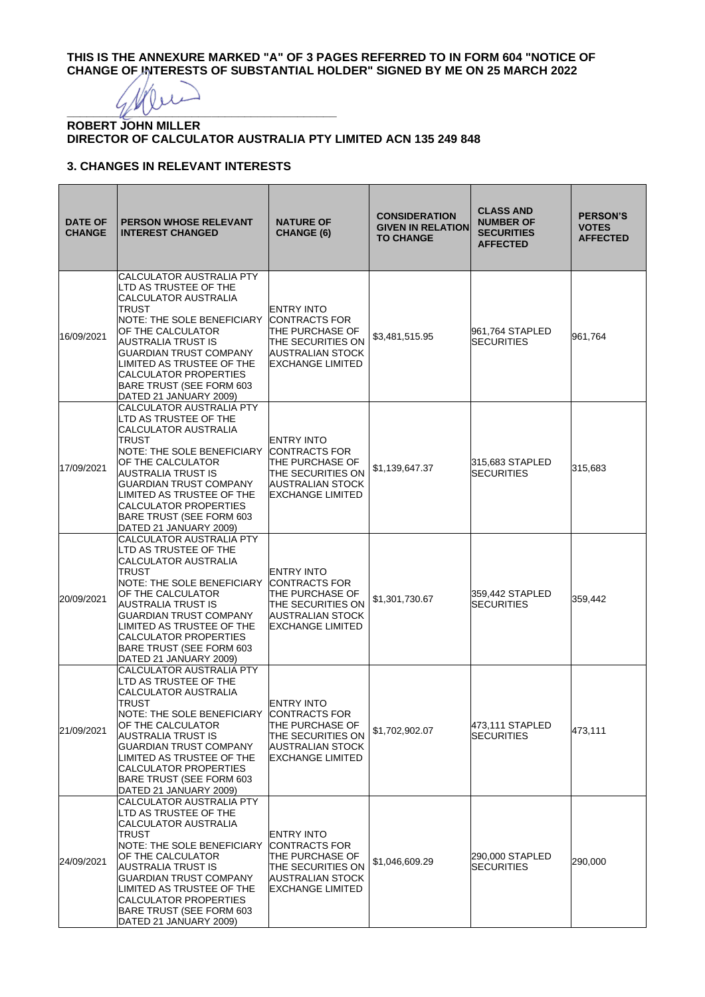**THIS IS THE ANNEXURE MARKED "A" OF 3 PAGES REFERRED TO IN FORM 604 "NOTICE OF CHANGE OF INTERESTS OF SUBSTANTIAL HOLDER" SIGNED BY ME ON 25 MARCH 2022**

 $4$  Meri

# **ROBERT JOHN MILLER DIRECTOR OF CALCULATOR AUSTRALIA PTY LIMITED ACN 135 249 848**

# **3. CHANGES IN RELEVANT INTERESTS**

| <b>DATE OF</b><br><b>CHANGE</b> | <b>PERSON WHOSE RELEVANT</b><br><b>INTEREST CHANGED</b>                                                                                                                                                                                                                                                                       | <b>NATURE OF</b><br><b>CHANGE (6)</b>                                                                                            | <b>CONSIDERATION</b><br><b>GIVEN IN RELATION</b><br><b>TO CHANGE</b> | <b>CLASS AND</b><br><b>NUMBER OF</b><br><b>SECURITIES</b><br><b>AFFECTED</b> | <b>PERSON'S</b><br><b>VOTES</b><br><b>AFFECTED</b> |
|---------------------------------|-------------------------------------------------------------------------------------------------------------------------------------------------------------------------------------------------------------------------------------------------------------------------------------------------------------------------------|----------------------------------------------------------------------------------------------------------------------------------|----------------------------------------------------------------------|------------------------------------------------------------------------------|----------------------------------------------------|
| 16/09/2021                      | <b>CALCULATOR AUSTRALIA PTY</b><br>LTD AS TRUSTEE OF THE<br>CALCULATOR AUSTRALIA<br>TRUST<br>NOTE: THE SOLE BENEFICIARY<br>OF THE CALCULATOR<br>AUSTRALIA TRUST IS<br><b>GUARDIAN TRUST COMPANY</b><br>LIMITED AS TRUSTEE OF THE<br>CALCULATOR PROPERTIES<br>BARE TRUST (SEE FORM 603<br>DATED 21 JANUARY 2009)               | <b>ENTRY INTO</b><br>ICONTRACTS FOR<br>THE PURCHASE OF<br>THE SECURITIES ON<br>AUSTRALIAN STOCK<br><b>EXCHANGE LIMITED</b>       | \$3,481,515.95                                                       | 961,764 STAPLED<br><b>SECURITIES</b>                                         | 961,764                                            |
| 17/09/2021                      | <b>CALCULATOR AUSTRALIA PTY</b><br>LTD AS TRUSTEE OF THE<br>CALCULATOR AUSTRALIA<br><b>TRUST</b><br>NOTE: THE SOLE BENEFICIARY<br>OF THE CALCULATOR<br>AUSTRALIA TRUST IS<br><b>GUARDIAN TRUST COMPANY</b><br>LIMITED AS TRUSTEE OF THE<br><b>CALCULATOR PROPERTIES</b><br>BARE TRUST (SEE FORM 603<br>DATED 21 JANUARY 2009) | <b>ENTRY INTO</b><br><b>CONTRACTS FOR</b><br>THE PURCHASE OF<br>THE SECURITIES ON<br>AUSTRALIAN STOCK<br><b>EXCHANGE LIMITED</b> | \$1,139,647.37                                                       | 315,683 STAPLED<br><b>SECURITIES</b>                                         | 315,683                                            |
| 20/09/2021                      | <b>CALCULATOR AUSTRALIA PTY</b><br>LTD AS TRUSTEE OF THE<br>CALCULATOR AUSTRALIA<br>TRUST<br>NOTE: THE SOLE BENEFICIARY<br>OF THE CALCULATOR<br>AUSTRALIA TRUST IS<br><b>GUARDIAN TRUST COMPANY</b><br>LIMITED AS TRUSTEE OF THE<br>CALCULATOR PROPERTIES<br>BARE TRUST (SEE FORM 603<br>DATED 21 JANUARY 2009)               | <b>ENTRY INTO</b><br>ICONTRACTS FOR<br>THE PURCHASE OF<br>THE SECURITIES ON<br>AUSTRALIAN STOCK<br><b>EXCHANGE LIMITED</b>       | \$1,301,730.67                                                       | 359,442 STAPLED<br><b>SECURITIES</b>                                         | 359,442                                            |
| 21/09/2021                      | CALCULATOR AUSTRALIA PTY<br>LTD AS TRUSTEE OF THE<br>CALCULATOR AUSTRALIA<br>TRUST<br>NOTE: THE SOLE BENEFICIARY<br>OF THE CALCULATOR<br>AUSTRALIA TRUST IS<br><b>GUARDIAN TRUST COMPANY</b><br>LIMITED AS TRUSTEE OF THE<br>CALCULATOR PROPERTIES<br>BARE TRUST (SEE FORM 603<br>DATED 21 JANUARY 2009)                      | <b>ENTRY INTO</b><br><b>CONTRACTS FOR</b><br>THE PURCHASE OF<br>THE SECURITIES ON<br>AUSTRALIAN STOCK<br><b>EXCHANGE LIMITED</b> | \$1,702,902.07                                                       | 473,111 STAPLED<br><b>ISECURITIES</b>                                        | 473,111                                            |
| 24/09/2021                      | CALCULATOR AUSTRALIA PTY<br>LTD AS TRUSTEE OF THE<br>CALCULATOR AUSTRALIA<br>TRUST<br>NOTE: THE SOLE BENEFICIARY<br>OF THE CALCULATOR<br>AUSTRALIA TRUST IS<br><b>GUARDIAN TRUST COMPANY</b><br>LIMITED AS TRUSTEE OF THE<br><b>CALCULATOR PROPERTIES</b><br>BARE TRUST (SEE FORM 603<br>DATED 21 JANUARY 2009)               | ENTRY INTO<br><b>CONTRACTS FOR</b><br>THE PURCHASE OF<br>THE SECURITIES ON<br><b>AUSTRALIAN STOCK</b><br><b>EXCHANGE LIMITED</b> | \$1,046,609.29                                                       | 290,000 STAPLED<br><b>SECURITIES</b>                                         | 290,000                                            |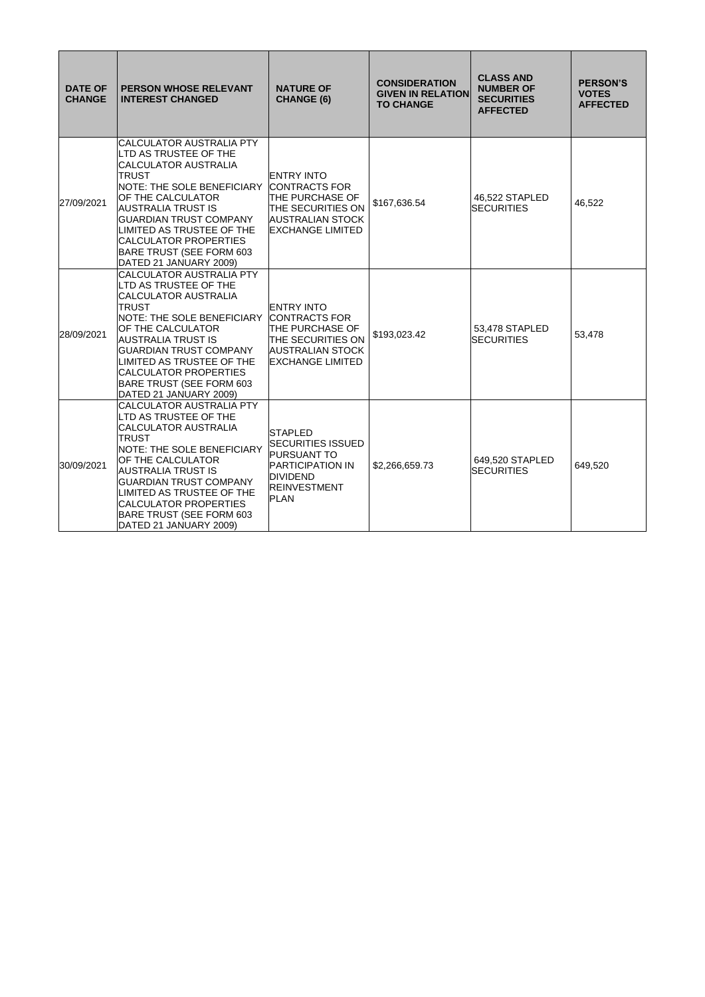| <b>DATE OF</b><br><b>CHANGE</b> | <b>PERSON WHOSE RELEVANT</b><br><b>INTEREST CHANGED</b>                                                                                                                                                                                                                                                                                     | <b>NATURE OF</b><br><b>CHANGE (6)</b>                                                                                                                 | <b>CONSIDERATION</b><br><b>GIVEN IN RELATION</b><br><b>TO CHANGE</b> | <b>CLASS AND</b><br><b>NUMBER OF</b><br><b>SECURITIES</b><br><b>AFFECTED</b> | <b>PERSON'S</b><br><b>VOTES</b><br><b>AFFECTED</b> |
|---------------------------------|---------------------------------------------------------------------------------------------------------------------------------------------------------------------------------------------------------------------------------------------------------------------------------------------------------------------------------------------|-------------------------------------------------------------------------------------------------------------------------------------------------------|----------------------------------------------------------------------|------------------------------------------------------------------------------|----------------------------------------------------|
| 27/09/2021                      | <b>CALCULATOR AUSTRALIA PTY</b><br>LTD AS TRUSTEE OF THE<br><b>CALCULATOR AUSTRALIA</b><br><b>TRUST</b><br>NOTE: THE SOLE BENEFICIARY<br>OF THE CALCULATOR<br>AUSTRALIA TRUST IS<br><b>GUARDIAN TRUST COMPANY</b><br>LIMITED AS TRUSTEE OF THE<br><b>CALCULATOR PROPERTIES</b><br>BARE TRUST (SEE FORM 603<br>DATED 21 JANUARY 2009)        | <b>ENTRY INTO</b><br><b>CONTRACTS FOR</b><br><b>THE PURCHASE OF</b><br><b>THE SECURITIES ON</b><br>AUSTRALIAN STOCK<br><b>EXCHANGE LIMITED</b>        | \$167,636.54                                                         | 46.522 STAPLED<br><b>SECURITIES</b>                                          | 46,522                                             |
| 28/09/2021                      | <b>CALCULATOR AUSTRALIA PTY</b><br>LTD AS TRUSTEE OF THE<br><b>CALCULATOR AUSTRALIA</b><br><b>TRUST</b><br>NOTE: THE SOLE BENEFICIARY<br>OF THE CALCULATOR<br><b>AUSTRALIA TRUST IS</b><br><b>GUARDIAN TRUST COMPANY</b><br>LIMITED AS TRUSTEE OF THE<br><b>CALCULATOR PROPERTIES</b><br>BARE TRUST (SEE FORM 603<br>DATED 21 JANUARY 2009) | <b>ENTRY INTO</b><br><b>CONTRACTS FOR</b><br><b>THE PURCHASE OF</b><br><b>THE SECURITIES ON</b><br><b>AUSTRALIAN STOCK</b><br><b>EXCHANGE LIMITED</b> | \$193,023.42                                                         | 53,478 STAPLED<br><b>SECURITIES</b>                                          | 53,478                                             |
| 30/09/2021                      | <b>CALCULATOR AUSTRALIA PTY</b><br>LTD AS TRUSTEE OF THE<br><b>CALCULATOR AUSTRALIA</b><br>TRUST<br><b>NOTE: THE SOLE BENEFICIARY</b><br>OF THE CALCULATOR<br><b>AUSTRALIA TRUST IS</b><br><b>GUARDIAN TRUST COMPANY</b><br>LIMITED AS TRUSTEE OF THE<br><b>CALCULATOR PROPERTIES</b><br>BARE TRUST (SEE FORM 603<br>DATED 21 JANUARY 2009) | <b>STAPLED</b><br><b>SECURITIES ISSUED</b><br><b>PURSUANT TO</b><br><b>PARTICIPATION IN</b><br><b>DIVIDEND</b><br><b>REINVESTMENT</b><br><b>PLAN</b>  | \$2,266,659.73                                                       | 649.520 STAPLED<br><b>SECURITIES</b>                                         | 649,520                                            |